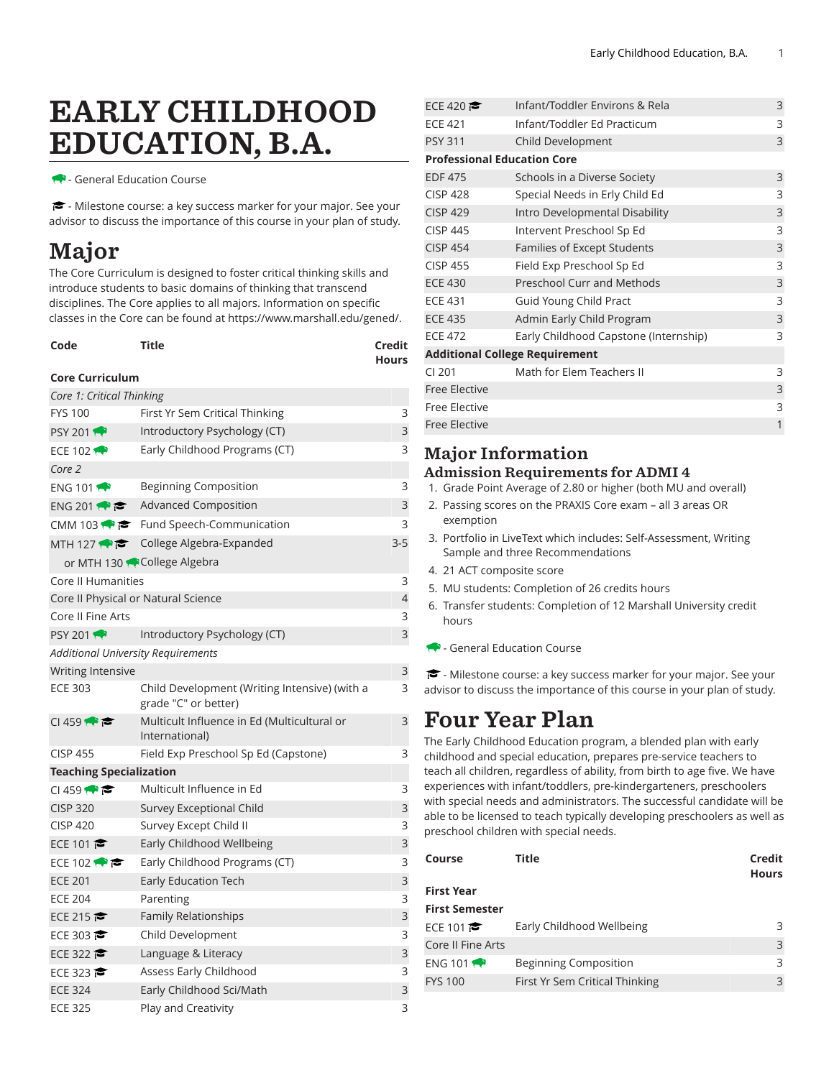# EARLY CHILDHOOD EDUCATION, B.A.

- General Education Course

- Milestone course: a key success marker for your major. See your advisor to discuss the importance of this course in your plan of study.

# Major

The Core Curriculum is designed to foster critical thinking skills and introduce students to basic domains of thinking that transcend disciplines. The Core applies to all majors. Information on specific classes in the Core can be found at [https://www.marshall.edu/gened/.](https://www.marshall.edu/gened/)

| Code | Title | Credit       |
|------|-------|--------------|
|      |       | <b>Hours</b> |

#### **Core Curriculum**

| Core 1: Critical Thinking                 |                                                                       |         |
|-------------------------------------------|-----------------------------------------------------------------------|---------|
| <b>FYS 100</b>                            | First Yr Sem Critical Thinking                                        | 3       |
| <b>PSY 2011</b>                           | Introductory Psychology (CT)                                          | 3       |
| ECE 102                                   | Early Childhood Programs (CT)                                         | 3       |
| Core 2                                    |                                                                       |         |
| ENG 101                                   | <b>Beginning Composition</b>                                          | 3       |
| ENG 201 $\leftrightarrow$ $\approx$       | <b>Advanced Composition</b>                                           | 3       |
|                                           | CMM 103 $\bullet \bullet$ Fund Speech-Communication                   | 3       |
| MTH 127 $\bullet$ $\bullet$               | College Algebra-Expanded                                              | $3 - 5$ |
|                                           | or MTH 130 College Algebra                                            |         |
| Core II Humanities                        |                                                                       | 3       |
|                                           | Core II Physical or Natural Science                                   | 4       |
| Core II Fine Arts                         |                                                                       | 3       |
| <b>PSY 2011</b>                           | Introductory Psychology (CT)                                          | 3       |
| <b>Additional University Requirements</b> |                                                                       |         |
| <b>Writing Intensive</b>                  |                                                                       | 3       |
| <b>ECE 303</b>                            | Child Development (Writing Intensive) (with a<br>grade "C" or better) | 3       |
| CI 459                                    | Multicult Influence in Ed (Multicultural or<br>International)         | 3       |
| <b>CISP 455</b>                           | Field Exp Preschool Sp Ed (Capstone)                                  | 3       |
| <b>Teaching Specialization</b>            |                                                                       |         |
| C1459                                     | Multicult Influence in Ed                                             | 3       |
| <b>CISP 320</b>                           | Survey Exceptional Child                                              | 3       |
| <b>CISP 420</b>                           | Survey Except Child II                                                | 3       |
| ECE 101                                   | Early Childhood Wellbeing                                             | 3       |
| ECE 102 $\bullet$                         | Early Childhood Programs (CT)                                         | 3       |
| <b>ECE 201</b>                            | <b>Early Education Tech</b>                                           | 3       |
| <b>ECE 204</b>                            | Parenting                                                             | 3       |
| ECE 215                                   | Family Relationships                                                  | 3       |
| ECE 303                                   | Child Development                                                     | 3       |
| ECE 322                                   | Language & Literacy                                                   | 3       |
| ECE 323                                   | Assess Early Childhood                                                | 3       |
| <b>ECE 324</b>                            | Early Childhood Sci/Math                                              | 3       |
| <b>ECE 325</b>                            | Play and Creativity                                                   | 3       |

| ECE 420                            | Infant/Toddler Environs & Rela        | 3            |
|------------------------------------|---------------------------------------|--------------|
| <b>ECE 421</b>                     | Infant/Toddler Ed Practicum           | 3            |
| <b>PSY 311</b>                     | Child Development                     | 3            |
| <b>Professional Education Core</b> |                                       |              |
| <b>EDF 475</b>                     | Schools in a Diverse Society          | 3            |
| <b>CISP 428</b>                    | Special Needs in Erly Child Ed        | 3            |
| <b>CISP 429</b>                    | Intro Developmental Disability        | $\mathsf{3}$ |
| <b>CISP 445</b>                    | Intervent Preschool Sp Ed             | 3            |
| <b>CISP 454</b>                    | Families of Except Students           | $\mathsf{3}$ |
| <b>CISP 455</b>                    | Field Exp Preschool Sp Ed             | 3            |
| <b>ECE 430</b>                     | <b>Preschool Curr and Methods</b>     | 3            |
| <b>ECE 431</b>                     | Guid Young Child Pract                | 3            |
| <b>ECE 435</b>                     | Admin Early Child Program             | 3            |
| <b>ECE 472</b>                     | Early Childhood Capstone (Internship) | 3            |
|                                    | <b>Additional College Requirement</b> |              |
| $CI$ 201                           | Math for Elem Teachers II             | 3            |
| <b>Free Elective</b>               |                                       | 3            |
| <b>Free Elective</b>               |                                       | 3            |
| <b>Free Elective</b>               |                                       | 1            |
|                                    |                                       |              |

### Major Information

- Admission Requirements for ADMI 4
- 1. Grade Point Average of 2.80 or higher (both MU and overall)
- 2. Passing scores on the PRAXIS Core exam all 3 areas OR exemption
- 3. Portfolio in LiveText which includes: Self-Assessment, Writing Sample and three Recommendations
- 4. 21 ACT composite score
- 5. MU students: Completion of 26 credits hours
- 6. Transfer students: Completion of 12 Marshall University credit hours
- General Education Course

- Milestone course: a key success marker for your major. See your advisor to discuss the importance of this course in your plan of study.

## Four Year Plan

The Early Childhood Education program, a blended plan with early childhood and special education, prepares pre-service teachers to teach all children, regardless of ability, from birth to age five. We have experiences with infant/toddlers, pre-kindergarteners, preschoolers with special needs and administrators. The successful candidate will be able to be licensed to teach typically developing preschoolers as well as preschool children with special needs.

| Course                | Title                          | Credit<br><b>Hours</b> |
|-----------------------|--------------------------------|------------------------|
| <b>First Year</b>     |                                |                        |
| <b>First Semester</b> |                                |                        |
| ECE 101               | Early Childhood Wellbeing      | ς                      |
| Core II Fine Arts     |                                | 3                      |
| ENG 101               | <b>Beginning Composition</b>   | ς                      |
| <b>FYS 100</b>        | First Yr Sem Critical Thinking | $\mathcal{E}$          |
|                       |                                |                        |